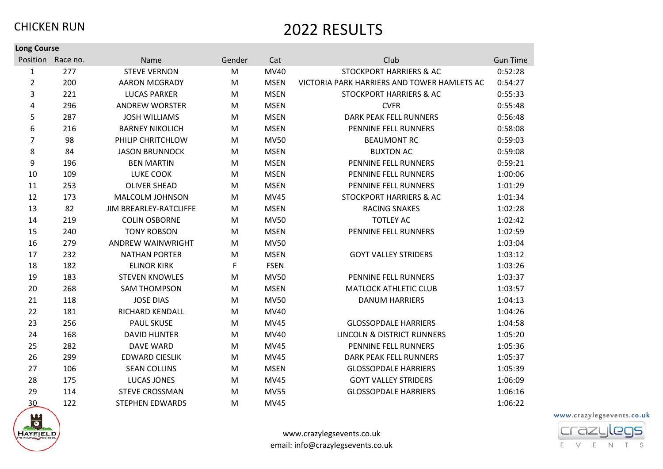| <b>Long Course</b> |                   |                          |             |             |                                             |                 |
|--------------------|-------------------|--------------------------|-------------|-------------|---------------------------------------------|-----------------|
|                    | Position Race no. | Name                     | Gender      | Cat         | Club                                        | <b>Gun Time</b> |
| 1                  | 277               | <b>STEVE VERNON</b>      | ${\sf M}$   | MV40        | <b>STOCKPORT HARRIERS &amp; AC</b>          | 0:52:28         |
| $\overline{2}$     | 200               | <b>AARON MCGRADY</b>     | M           | <b>MSEN</b> | VICTORIA PARK HARRIERS AND TOWER HAMLETS AC | 0:54:27         |
| 3                  | 221               | <b>LUCAS PARKER</b>      | M           | <b>MSEN</b> | <b>STOCKPORT HARRIERS &amp; AC</b>          | 0:55:33         |
| 4                  | 296               | <b>ANDREW WORSTER</b>    | M           | <b>MSEN</b> | <b>CVFR</b>                                 | 0:55:48         |
| 5                  | 287               | <b>JOSH WILLIAMS</b>     | M           | <b>MSEN</b> | <b>DARK PEAK FELL RUNNERS</b>               | 0:56:48         |
| 6                  | 216               | <b>BARNEY NIKOLICH</b>   | M           | <b>MSEN</b> | PENNINE FELL RUNNERS                        | 0:58:08         |
| $\overline{7}$     | 98                | PHILIP CHRITCHLOW        | M           | <b>MV50</b> | <b>BEAUMONT RC</b>                          | 0:59:03         |
| 8                  | 84                | <b>JASON BRUNNOCK</b>    | M           | <b>MSEN</b> | <b>BUXTON AC</b>                            | 0:59:08         |
| 9                  | 196               | <b>BEN MARTIN</b>        | M           | <b>MSEN</b> | PENNINE FELL RUNNERS                        | 0:59:21         |
| 10                 | 109               | <b>LUKE COOK</b>         | M           | <b>MSEN</b> | PENNINE FELL RUNNERS                        | 1:00:06         |
| 11                 | 253               | <b>OLIVER SHEAD</b>      | M           | <b>MSEN</b> | PENNINE FELL RUNNERS                        | 1:01:29         |
| 12                 | 173               | MALCOLM JOHNSON          | M           | <b>MV45</b> | STOCKPORT HARRIERS & AC                     | 1:01:34         |
| 13                 | 82                | JIM BREARLEY-RATCLIFFE   | M           | <b>MSEN</b> | <b>RACING SNAKES</b>                        | 1:02:28         |
| 14                 | 219               | <b>COLIN OSBORNE</b>     | M           | <b>MV50</b> | <b>TOTLEY AC</b>                            | 1:02:42         |
| 15                 | 240               | <b>TONY ROBSON</b>       | M           | <b>MSEN</b> | PENNINE FELL RUNNERS                        | 1:02:59         |
| 16                 | 279               | <b>ANDREW WAINWRIGHT</b> | M           | <b>MV50</b> |                                             | 1:03:04         |
| 17                 | 232               | <b>NATHAN PORTER</b>     | M           | <b>MSEN</b> | <b>GOYT VALLEY STRIDERS</b>                 | 1:03:12         |
| 18                 | 182               | <b>ELINOR KIRK</b>       | $\mathsf F$ | <b>FSEN</b> |                                             | 1:03:26         |
| 19                 | 183               | <b>STEVEN KNOWLES</b>    | M           | <b>MV50</b> | PENNINE FELL RUNNERS                        | 1:03:37         |
| 20                 | 268               | <b>SAM THOMPSON</b>      | M           | <b>MSEN</b> | <b>MATLOCK ATHLETIC CLUB</b>                | 1:03:57         |
| 21                 | 118               | <b>JOSE DIAS</b>         | M           | <b>MV50</b> | <b>DANUM HARRIERS</b>                       | 1:04:13         |
| 22                 | 181               | RICHARD KENDALL          | M           | MV40        |                                             | 1:04:26         |
| 23                 | 256               | <b>PAUL SKUSE</b>        | M           | <b>MV45</b> | <b>GLOSSOPDALE HARRIERS</b>                 | 1:04:58         |
| 24                 | 168               | <b>DAVID HUNTER</b>      | M           | MV40        | LINCOLN & DISTRICT RUNNERS                  | 1:05:20         |
| 25                 | 282               | <b>DAVE WARD</b>         | M           | <b>MV45</b> | PENNINE FELL RUNNERS                        | 1:05:36         |
| 26                 | 299               | <b>EDWARD CIESLIK</b>    | M           | <b>MV45</b> | <b>DARK PEAK FELL RUNNERS</b>               | 1:05:37         |
| 27                 | 106               | <b>SEAN COLLINS</b>      | M           | <b>MSEN</b> | <b>GLOSSOPDALE HARRIERS</b>                 | 1:05:39         |
| 28                 | 175               | <b>LUCAS JONES</b>       | M           | <b>MV45</b> | <b>GOYT VALLEY STRIDERS</b>                 | 1:06:09         |
| 29                 | 114               | <b>STEVE CROSSMAN</b>    | M           | <b>MV55</b> | <b>GLOSSOPDALE HARRIERS</b>                 | 1:06:16         |
| 30                 | 122               | <b>STEPHEN EDWARDS</b>   | M           | <b>MV45</b> |                                             | 1:06:22         |



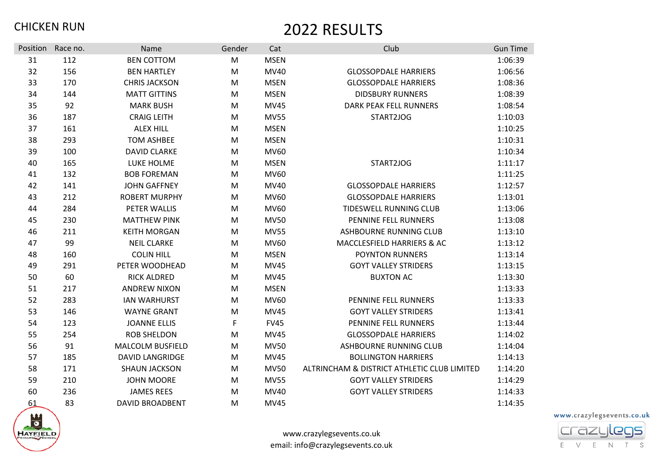| Position | Race no. | Name                    | Gender | Cat         | Club                                        | <b>Gun Time</b> |
|----------|----------|-------------------------|--------|-------------|---------------------------------------------|-----------------|
| 31       | 112      | <b>BEN COTTOM</b>       | M      | <b>MSEN</b> |                                             | 1:06:39         |
| 32       | 156      | <b>BEN HARTLEY</b>      | M      | <b>MV40</b> | <b>GLOSSOPDALE HARRIERS</b>                 | 1:06:56         |
| 33       | 170      | <b>CHRIS JACKSON</b>    | M      | <b>MSEN</b> | <b>GLOSSOPDALE HARRIERS</b>                 | 1:08:36         |
| 34       | 144      | <b>MATT GITTINS</b>     | M      | <b>MSEN</b> | <b>DIDSBURY RUNNERS</b>                     | 1:08:39         |
| 35       | 92       | <b>MARK BUSH</b>        | M      | <b>MV45</b> | DARK PEAK FELL RUNNERS                      | 1:08:54         |
| 36       | 187      | <b>CRAIG LEITH</b>      | M      | <b>MV55</b> | START2JOG                                   | 1:10:03         |
| 37       | 161      | <b>ALEX HILL</b>        | M      | <b>MSEN</b> |                                             | 1:10:25         |
| 38       | 293      | <b>TOM ASHBEE</b>       | M      | <b>MSEN</b> |                                             | 1:10:31         |
| 39       | 100      | <b>DAVID CLARKE</b>     | M      | <b>MV60</b> |                                             | 1:10:34         |
| 40       | 165      | LUKE HOLME              | M      | <b>MSEN</b> | START2JOG                                   | 1:11:17         |
| 41       | 132      | <b>BOB FOREMAN</b>      | M      | <b>MV60</b> |                                             | 1:11:25         |
| 42       | 141      | <b>JOHN GAFFNEY</b>     | M      | MV40        | <b>GLOSSOPDALE HARRIERS</b>                 | 1:12:57         |
| 43       | 212      | <b>ROBERT MURPHY</b>    | M      | <b>MV60</b> | <b>GLOSSOPDALE HARRIERS</b>                 | 1:13:01         |
| 44       | 284      | PETER WALLIS            | M      | <b>MV60</b> | <b>TIDESWELL RUNNING CLUB</b>               | 1:13:06         |
| 45       | 230      | <b>MATTHEW PINK</b>     | M      | <b>MV50</b> | PENNINE FELL RUNNERS                        | 1:13:08         |
| 46       | 211      | <b>KEITH MORGAN</b>     | M      | <b>MV55</b> | ASHBOURNE RUNNING CLUB                      | 1:13:10         |
| 47       | 99       | <b>NEIL CLARKE</b>      | M      | <b>MV60</b> | MACCLESFIELD HARRIERS & AC                  | 1:13:12         |
| 48       | 160      | <b>COLIN HILL</b>       | M      | <b>MSEN</b> | <b>POYNTON RUNNERS</b>                      | 1:13:14         |
| 49       | 291      | PETER WOODHEAD          | M      | <b>MV45</b> | <b>GOYT VALLEY STRIDERS</b>                 | 1:13:15         |
| 50       | 60       | <b>RICK ALDRED</b>      | M      | <b>MV45</b> | <b>BUXTON AC</b>                            | 1:13:30         |
| 51       | 217      | <b>ANDREW NIXON</b>     | M      | <b>MSEN</b> |                                             | 1:13:33         |
| 52       | 283      | <b>IAN WARHURST</b>     | M      | <b>MV60</b> | PENNINE FELL RUNNERS                        | 1:13:33         |
| 53       | 146      | <b>WAYNE GRANT</b>      | M      | <b>MV45</b> | <b>GOYT VALLEY STRIDERS</b>                 | 1:13:41         |
| 54       | 123      | <b>JOANNE ELLIS</b>     | F      | <b>FV45</b> | PENNINE FELL RUNNERS                        | 1:13:44         |
| 55       | 254      | <b>ROB SHELDON</b>      | M      | <b>MV45</b> | <b>GLOSSOPDALE HARRIERS</b>                 | 1:14:02         |
| 56       | 91       | <b>MALCOLM BUSFIELD</b> | M      | <b>MV50</b> | <b>ASHBOURNE RUNNING CLUB</b>               | 1:14:04         |
| 57       | 185      | <b>DAVID LANGRIDGE</b>  | M      | <b>MV45</b> | <b>BOLLINGTON HARRIERS</b>                  | 1:14:13         |
| 58       | 171      | <b>SHAUN JACKSON</b>    | M      | <b>MV50</b> | ALTRINCHAM & DISTRICT ATHLETIC CLUB LIMITED | 1:14:20         |
| 59       | 210      | <b>JOHN MOORE</b>       | M      | <b>MV55</b> | <b>GOYT VALLEY STRIDERS</b>                 | 1:14:29         |
| 60       | 236      | <b>JAMES REES</b>       | M      | <b>MV40</b> | <b>GOYT VALLEY STRIDERS</b>                 | 1:14:33         |
| 61       | 83       | <b>DAVID BROADBENT</b>  | M      | <b>MV45</b> |                                             | 1:14:35         |

www.crazylegsevents.co.uk



www.crazylegsevents.co.uk email: info@crazylegsevents.co.uk

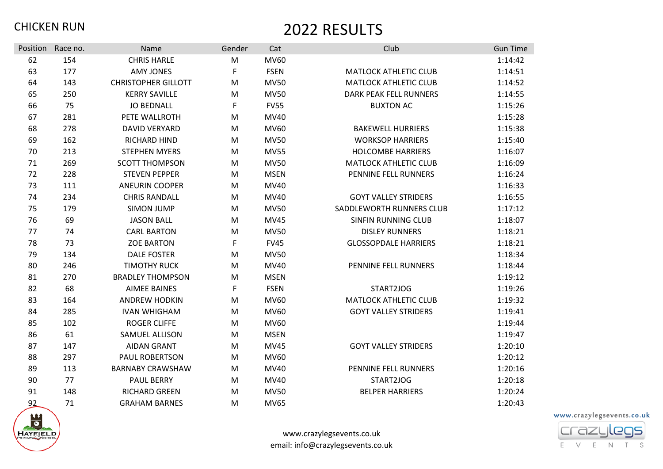| Position | Race no. | Name                       | Gender | Cat         | Club                          | <b>Gun Time</b> |
|----------|----------|----------------------------|--------|-------------|-------------------------------|-----------------|
| 62       | 154      | <b>CHRIS HARLE</b>         | M      | MV60        |                               | 1:14:42         |
| 63       | 177      | <b>AMY JONES</b>           | F      | <b>FSEN</b> | <b>MATLOCK ATHLETIC CLUB</b>  | 1:14:51         |
| 64       | 143      | <b>CHRISTOPHER GILLOTT</b> | M      | <b>MV50</b> | <b>MATLOCK ATHLETIC CLUB</b>  | 1:14:52         |
| 65       | 250      | <b>KERRY SAVILLE</b>       | M      | <b>MV50</b> | <b>DARK PEAK FELL RUNNERS</b> | 1:14:55         |
| 66       | 75       | <b>JO BEDNALL</b>          | F      | <b>FV55</b> | <b>BUXTON AC</b>              | 1:15:26         |
| 67       | 281      | PETE WALLROTH              | M      | MV40        |                               | 1:15:28         |
| 68       | 278      | <b>DAVID VERYARD</b>       | M      | MV60        | <b>BAKEWELL HURRIERS</b>      | 1:15:38         |
| 69       | 162      | <b>RICHARD HIND</b>        | M      | <b>MV50</b> | <b>WORKSOP HARRIERS</b>       | 1:15:40         |
| 70       | 213      | <b>STEPHEN MYERS</b>       | M      | <b>MV55</b> | <b>HOLCOMBE HARRIERS</b>      | 1:16:07         |
| 71       | 269      | <b>SCOTT THOMPSON</b>      | M      | <b>MV50</b> | <b>MATLOCK ATHLETIC CLUB</b>  | 1:16:09         |
| 72       | 228      | <b>STEVEN PEPPER</b>       | M      | <b>MSEN</b> | PENNINE FELL RUNNERS          | 1:16:24         |
| 73       | 111      | <b>ANEURIN COOPER</b>      | M      | MV40        |                               | 1:16:33         |
| 74       | 234      | <b>CHRIS RANDALL</b>       | M      | MV40        | <b>GOYT VALLEY STRIDERS</b>   | 1:16:55         |
| 75       | 179      | <b>SIMON JUMP</b>          | M      | <b>MV50</b> | SADDLEWORTH RUNNERS CLUB      | 1:17:12         |
| 76       | 69       | <b>JASON BALL</b>          | M      | <b>MV45</b> | <b>SINFIN RUNNING CLUB</b>    | 1:18:07         |
| 77       | 74       | <b>CARL BARTON</b>         | M      | <b>MV50</b> | <b>DISLEY RUNNERS</b>         | 1:18:21         |
| 78       | 73       | <b>ZOE BARTON</b>          | F      | <b>FV45</b> | <b>GLOSSOPDALE HARRIERS</b>   | 1:18:21         |
| 79       | 134      | <b>DALE FOSTER</b>         | M      | <b>MV50</b> |                               | 1:18:34         |
| 80       | 246      | <b>TIMOTHY RUCK</b>        | M      | MV40        | PENNINE FELL RUNNERS          | 1:18:44         |
| 81       | 270      | <b>BRADLEY THOMPSON</b>    | M      | <b>MSEN</b> |                               | 1:19:12         |
| 82       | 68       | <b>AIMEE BAINES</b>        | F      | <b>FSEN</b> | START2JOG                     | 1:19:26         |
| 83       | 164      | <b>ANDREW HODKIN</b>       | M      | MV60        | <b>MATLOCK ATHLETIC CLUB</b>  | 1:19:32         |
| 84       | 285      | <b>IVAN WHIGHAM</b>        | M      | MV60        | <b>GOYT VALLEY STRIDERS</b>   | 1:19:41         |
| 85       | 102      | <b>ROGER CLIFFE</b>        | M      | MV60        |                               | 1:19:44         |
| 86       | 61       | <b>SAMUEL ALLISON</b>      | M      | <b>MSEN</b> |                               | 1:19:47         |
| 87       | 147      | <b>AIDAN GRANT</b>         | M      | <b>MV45</b> | <b>GOYT VALLEY STRIDERS</b>   | 1:20:10         |
| 88       | 297      | <b>PAUL ROBERTSON</b>      | M      | MV60        |                               | 1:20:12         |
| 89       | 113      | <b>BARNABY CRAWSHAW</b>    | M      | MV40        | PENNINE FELL RUNNERS          | 1:20:16         |
| 90       | 77       | <b>PAUL BERRY</b>          | M      | MV40        | START2JOG                     | 1:20:18         |
| 91       | 148      | RICHARD GREEN              | M      | <b>MV50</b> | <b>BELPER HARRIERS</b>        | 1:20:24         |
| 92       | 71       | <b>GRAHAM BARNES</b>       | M      | <b>MV65</b> |                               | 1:20:43         |



www.crazylegsevents.co.uk email: info@crazylegsevents.co.uk

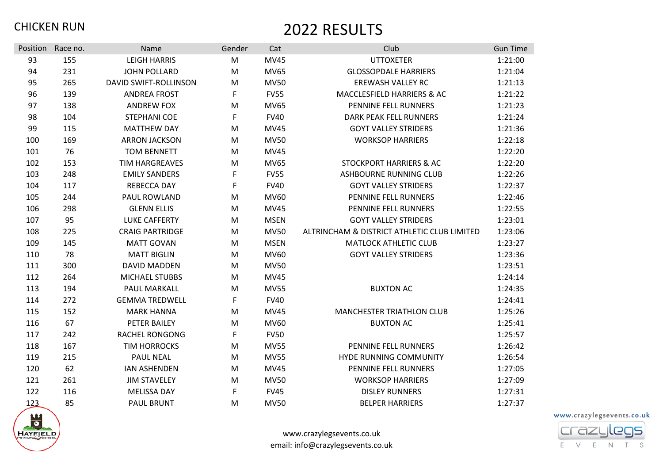| Position | Race no. | Name                         | Gender | Cat         | Club                                        | <b>Gun Time</b> |
|----------|----------|------------------------------|--------|-------------|---------------------------------------------|-----------------|
| 93       | 155      | <b>LEIGH HARRIS</b>          | M      | <b>MV45</b> | <b>UTTOXETER</b>                            | 1:21:00         |
| 94       | 231      | <b>JOHN POLLARD</b>          | M      | <b>MV65</b> | <b>GLOSSOPDALE HARRIERS</b>                 | 1:21:04         |
| 95       | 265      | <b>DAVID SWIFT-ROLLINSON</b> | M      | <b>MV50</b> | <b>EREWASH VALLEY RC</b>                    | 1:21:13         |
| 96       | 139      | <b>ANDREA FROST</b>          | F      | <b>FV55</b> | MACCLESFIELD HARRIERS & AC                  | 1:21:22         |
| 97       | 138      | <b>ANDREW FOX</b>            | M      | <b>MV65</b> | PENNINE FELL RUNNERS                        | 1:21:23         |
| 98       | 104      | <b>STEPHANI COE</b>          | F      | <b>FV40</b> | <b>DARK PEAK FELL RUNNERS</b>               | 1:21:24         |
| 99       | 115      | <b>MATTHEW DAY</b>           | M      | <b>MV45</b> | <b>GOYT VALLEY STRIDERS</b>                 | 1:21:36         |
| 100      | 169      | <b>ARRON JACKSON</b>         | M      | <b>MV50</b> | <b>WORKSOP HARRIERS</b>                     | 1:22:18         |
| 101      | 76       | <b>TOM BENNETT</b>           | M      | <b>MV45</b> |                                             | 1:22:20         |
| 102      | 153      | <b>TIM HARGREAVES</b>        | M      | <b>MV65</b> | <b>STOCKPORT HARRIERS &amp; AC</b>          | 1:22:20         |
| 103      | 248      | <b>EMILY SANDERS</b>         | F      | <b>FV55</b> | ASHBOURNE RUNNING CLUB                      | 1:22:26         |
| 104      | 117      | <b>REBECCA DAY</b>           | F      | <b>FV40</b> | <b>GOYT VALLEY STRIDERS</b>                 | 1:22:37         |
| 105      | 244      | PAUL ROWLAND                 | M      | MV60        | PENNINE FELL RUNNERS                        | 1:22:46         |
| 106      | 298      | <b>GLENN ELLIS</b>           | M      | <b>MV45</b> | PENNINE FELL RUNNERS                        | 1:22:55         |
| 107      | 95       | <b>LUKE CAFFERTY</b>         | M      | <b>MSEN</b> | <b>GOYT VALLEY STRIDERS</b>                 | 1:23:01         |
| 108      | 225      | <b>CRAIG PARTRIDGE</b>       | M      | <b>MV50</b> | ALTRINCHAM & DISTRICT ATHLETIC CLUB LIMITED | 1:23:06         |
| 109      | 145      | <b>MATT GOVAN</b>            | M      | <b>MSEN</b> | <b>MATLOCK ATHLETIC CLUB</b>                | 1:23:27         |
| 110      | 78       | <b>MATT BIGLIN</b>           | M      | MV60        | <b>GOYT VALLEY STRIDERS</b>                 | 1:23:36         |
| 111      | 300      | DAVID MADDEN                 | M      | <b>MV50</b> |                                             | 1:23:51         |
| 112      | 264      | <b>MICHAEL STUBBS</b>        | M      | <b>MV45</b> |                                             | 1:24:14         |
| 113      | 194      | PAUL MARKALL                 | M      | <b>MV55</b> | <b>BUXTON AC</b>                            | 1:24:35         |
| 114      | 272      | <b>GEMMA TREDWELL</b>        | F      | <b>FV40</b> |                                             | 1:24:41         |
| 115      | 152      | <b>MARK HANNA</b>            | M      | <b>MV45</b> | <b>MANCHESTER TRIATHLON CLUB</b>            | 1:25:26         |
| 116      | 67       | PETER BAILEY                 | M      | MV60        | <b>BUXTON AC</b>                            | 1:25:41         |
| 117      | 242      | <b>RACHEL RONGONG</b>        | F      | <b>FV50</b> |                                             | 1:25:57         |
| 118      | 167      | <b>TIM HORROCKS</b>          | M      | <b>MV55</b> | PENNINE FELL RUNNERS                        | 1:26:42         |
| 119      | 215      | <b>PAUL NEAL</b>             | M      | <b>MV55</b> | HYDE RUNNING COMMUNITY                      | 1:26:54         |
| 120      | 62       | <b>IAN ASHENDEN</b>          | M      | <b>MV45</b> | PENNINE FELL RUNNERS                        | 1:27:05         |
| 121      | 261      | <b>JIM STAVELEY</b>          | M      | <b>MV50</b> | <b>WORKSOP HARRIERS</b>                     | 1:27:09         |
| 122      | 116      | <b>MELISSA DAY</b>           | F      | <b>FV45</b> | <b>DISLEY RUNNERS</b>                       | 1:27:31         |
| 123      | 85       | <b>PAUL BRUNT</b>            | M      | <b>MV50</b> | <b>BELPER HARRIERS</b>                      | 1:27:37         |



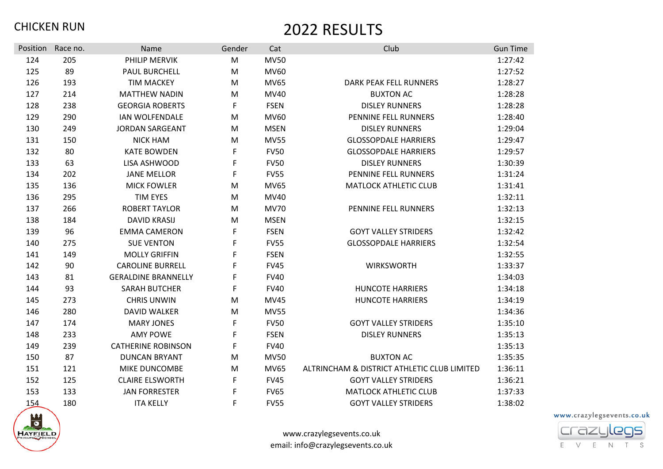| Position | Race no. | Name                       | Gender | Cat         | Club                                        | <b>Gun Time</b> |
|----------|----------|----------------------------|--------|-------------|---------------------------------------------|-----------------|
| 124      | 205      | PHILIP MERVIK              | M      | <b>MV50</b> |                                             | 1:27:42         |
| 125      | 89       | <b>PAUL BURCHELL</b>       | M      | MV60        |                                             | 1:27:52         |
| 126      | 193      | <b>TIM MACKEY</b>          | M      | <b>MV65</b> | <b>DARK PEAK FELL RUNNERS</b>               | 1:28:27         |
| 127      | 214      | <b>MATTHEW NADIN</b>       | M      | MV40        | <b>BUXTON AC</b>                            | 1:28:28         |
| 128      | 238      | <b>GEORGIA ROBERTS</b>     | F      | <b>FSEN</b> | <b>DISLEY RUNNERS</b>                       | 1:28:28         |
| 129      | 290      | <b>IAN WOLFENDALE</b>      | M      | MV60        | PENNINE FELL RUNNERS                        | 1:28:40         |
| 130      | 249      | <b>JORDAN SARGEANT</b>     | M      | <b>MSEN</b> | <b>DISLEY RUNNERS</b>                       | 1:29:04         |
| 131      | 150      | <b>NICK HAM</b>            | M      | <b>MV55</b> | <b>GLOSSOPDALE HARRIERS</b>                 | 1:29:47         |
| 132      | 80       | <b>KATE BOWDEN</b>         | F      | <b>FV50</b> | <b>GLOSSOPDALE HARRIERS</b>                 | 1:29:57         |
| 133      | 63       | LISA ASHWOOD               | F      | <b>FV50</b> | <b>DISLEY RUNNERS</b>                       | 1:30:39         |
| 134      | 202      | <b>JANE MELLOR</b>         | F      | <b>FV55</b> | PENNINE FELL RUNNERS                        | 1:31:24         |
| 135      | 136      | <b>MICK FOWLER</b>         | M      | <b>MV65</b> | <b>MATLOCK ATHLETIC CLUB</b>                | 1:31:41         |
| 136      | 295      | <b>TIM EYES</b>            | M      | MV40        |                                             | 1:32:11         |
| 137      | 266      | <b>ROBERT TAYLOR</b>       | M      | <b>MV70</b> | PENNINE FELL RUNNERS                        | 1:32:13         |
| 138      | 184      | <b>DAVID KRASIJ</b>        | M      | <b>MSEN</b> |                                             | 1:32:15         |
| 139      | 96       | <b>EMMA CAMERON</b>        | F      | <b>FSEN</b> | <b>GOYT VALLEY STRIDERS</b>                 | 1:32:42         |
| 140      | 275      | <b>SUE VENTON</b>          | F      | <b>FV55</b> | <b>GLOSSOPDALE HARRIERS</b>                 | 1:32:54         |
| 141      | 149      | <b>MOLLY GRIFFIN</b>       | F      | <b>FSEN</b> |                                             | 1:32:55         |
| 142      | 90       | <b>CAROLINE BURRELL</b>    | F      | <b>FV45</b> | WIRKSWORTH                                  | 1:33:37         |
| 143      | 81       | <b>GERALDINE BRANNELLY</b> | F      | <b>FV40</b> |                                             | 1:34:03         |
| 144      | 93       | <b>SARAH BUTCHER</b>       | F      | <b>FV40</b> | <b>HUNCOTE HARRIERS</b>                     | 1:34:18         |
| 145      | 273      | <b>CHRIS UNWIN</b>         | M      | <b>MV45</b> | <b>HUNCOTE HARRIERS</b>                     | 1:34:19         |
| 146      | 280      | <b>DAVID WALKER</b>        | M      | <b>MV55</b> |                                             | 1:34:36         |
| 147      | 174      | <b>MARY JONES</b>          | F      | <b>FV50</b> | <b>GOYT VALLEY STRIDERS</b>                 | 1:35:10         |
| 148      | 233      | <b>AMY POWE</b>            | F      | <b>FSEN</b> | <b>DISLEY RUNNERS</b>                       | 1:35:13         |
| 149      | 239      | <b>CATHERINE ROBINSON</b>  | F      | <b>FV40</b> |                                             | 1:35:13         |
| 150      | 87       | <b>DUNCAN BRYANT</b>       | M      | <b>MV50</b> | <b>BUXTON AC</b>                            | 1:35:35         |
| 151      | 121      | MIKE DUNCOMBE              | M      | <b>MV65</b> | ALTRINCHAM & DISTRICT ATHLETIC CLUB LIMITED | 1:36:11         |
| 152      | 125      | <b>CLAIRE ELSWORTH</b>     | F      | <b>FV45</b> | <b>GOYT VALLEY STRIDERS</b>                 | 1:36:21         |
| 153      | 133      | <b>JAN FORRESTER</b>       | F      | <b>FV65</b> | <b>MATLOCK ATHLETIC CLUB</b>                | 1:37:33         |
| 154      | 180      | <b>ITA KELLY</b>           | F      | <b>FV55</b> | <b>GOYT VALLEY STRIDERS</b>                 | 1:38:02         |



www.crazylegsevents.co.uk email: info@crazylegsevents.co.uk

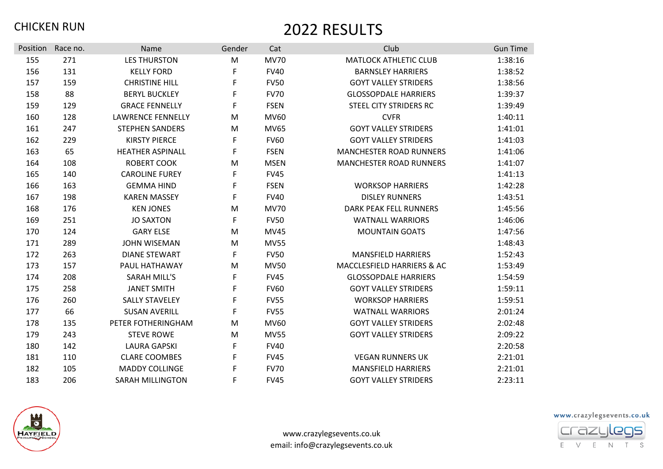| <b>Position</b> | Race no. | Name                     | Gender | Cat         | Club                                  | <b>Gun Time</b> |
|-----------------|----------|--------------------------|--------|-------------|---------------------------------------|-----------------|
| 155             | 271      | <b>LES THURSTON</b>      | M      | <b>MV70</b> | <b>MATLOCK ATHLETIC CLUB</b>          | 1:38:16         |
| 156             | 131      | <b>KELLY FORD</b>        | F      | <b>FV40</b> | <b>BARNSLEY HARRIERS</b>              | 1:38:52         |
| 157             | 159      | <b>CHRISTINE HILL</b>    | F      | <b>FV50</b> | <b>GOYT VALLEY STRIDERS</b>           | 1:38:56         |
| 158             | 88       | <b>BERYL BUCKLEY</b>     | F      | <b>FV70</b> | <b>GLOSSOPDALE HARRIERS</b>           | 1:39:37         |
| 159             | 129      | <b>GRACE FENNELLY</b>    | F      | <b>FSEN</b> | STEEL CITY STRIDERS RC                | 1:39:49         |
| 160             | 128      | <b>LAWRENCE FENNELLY</b> | M      | MV60        | <b>CVFR</b>                           | 1:40:11         |
| 161             | 247      | <b>STEPHEN SANDERS</b>   | M      | <b>MV65</b> | <b>GOYT VALLEY STRIDERS</b>           | 1:41:01         |
| 162             | 229      | <b>KIRSTY PIERCE</b>     | F      | <b>FV60</b> | <b>GOYT VALLEY STRIDERS</b>           | 1:41:03         |
| 163             | 65       | <b>HEATHER ASPINALL</b>  | F      | <b>FSEN</b> | <b>MANCHESTER ROAD RUNNERS</b>        | 1:41:06         |
| 164             | 108      | <b>ROBERT COOK</b>       | M      | <b>MSEN</b> | <b>MANCHESTER ROAD RUNNERS</b>        | 1:41:07         |
| 165             | 140      | <b>CAROLINE FUREY</b>    | F      | <b>FV45</b> |                                       | 1:41:13         |
| 166             | 163      | <b>GEMMA HIND</b>        | F      | <b>FSEN</b> | <b>WORKSOP HARRIERS</b>               | 1:42:28         |
| 167             | 198      | <b>KAREN MASSEY</b>      | F      | <b>FV40</b> | <b>DISLEY RUNNERS</b>                 | 1:43:51         |
| 168             | 176      | <b>KEN JONES</b>         | M      | <b>MV70</b> | <b>DARK PEAK FELL RUNNERS</b>         | 1:45:56         |
| 169             | 251      | <b>JO SAXTON</b>         | F      | <b>FV50</b> | <b>WATNALL WARRIORS</b>               | 1:46:06         |
| 170             | 124      | <b>GARY ELSE</b>         | M      | <b>MV45</b> | <b>MOUNTAIN GOATS</b>                 | 1:47:56         |
| 171             | 289      | <b>JOHN WISEMAN</b>      | M      | <b>MV55</b> |                                       | 1:48:43         |
| 172             | 263      | <b>DIANE STEWART</b>     | F      | <b>FV50</b> | <b>MANSFIELD HARRIERS</b>             | 1:52:43         |
| 173             | 157      | PAUL HATHAWAY            | M      | <b>MV50</b> | <b>MACCLESFIELD HARRIERS &amp; AC</b> | 1:53:49         |
| 174             | 208      | <b>SARAH MILL'S</b>      | F      | <b>FV45</b> | <b>GLOSSOPDALE HARRIERS</b>           | 1:54:59         |
| 175             | 258      | <b>JANET SMITH</b>       | F      | <b>FV60</b> | <b>GOYT VALLEY STRIDERS</b>           | 1:59:11         |
| 176             | 260      | <b>SALLY STAVELEY</b>    | F      | <b>FV55</b> | <b>WORKSOP HARRIERS</b>               | 1:59:51         |
| 177             | 66       | <b>SUSAN AVERILL</b>     | F      | <b>FV55</b> | <b>WATNALL WARRIORS</b>               | 2:01:24         |
| 178             | 135      | PETER FOTHERINGHAM       | M      | MV60        | <b>GOYT VALLEY STRIDERS</b>           | 2:02:48         |
| 179             | 243      | <b>STEVE ROWE</b>        | M      | <b>MV55</b> | <b>GOYT VALLEY STRIDERS</b>           | 2:09:22         |
| 180             | 142      | <b>LAURA GAPSKI</b>      | F      | <b>FV40</b> |                                       | 2:20:58         |
| 181             | 110      | <b>CLARE COOMBES</b>     | F      | <b>FV45</b> | <b>VEGAN RUNNERS UK</b>               | 2:21:01         |
| 182             | 105      | <b>MADDY COLLINGE</b>    | F      | <b>FV70</b> | <b>MANSFIELD HARRIERS</b>             | 2:21:01         |
| 183             | 206      | <b>SARAH MILLINGTON</b>  | F      | <b>FV45</b> | <b>GOYT VALLEY STRIDERS</b>           | 2:23:11         |



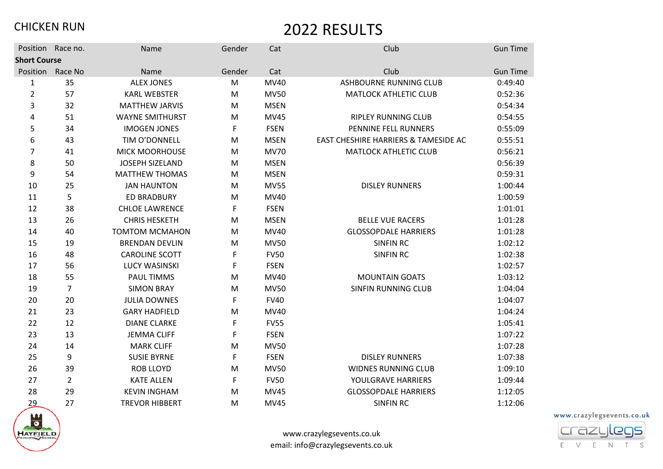|                     | Position Race no. | Name                   | Gender | Cat         | Club                                 | <b>Gun Time</b> |
|---------------------|-------------------|------------------------|--------|-------------|--------------------------------------|-----------------|
| <b>Short Course</b> |                   |                        |        |             |                                      |                 |
|                     | Position Race No  | Name                   | Gender | Cat         | Club                                 | <b>Gun Time</b> |
| 1                   | 35                | <b>ALEX JONES</b>      | M      | MV40        | <b>ASHBOURNE RUNNING CLUB</b>        | 0:49:40         |
| $\overline{2}$      | 57                | <b>KARL WEBSTER</b>    | M      | <b>MV50</b> | <b>MATLOCK ATHLETIC CLUB</b>         | 0:52:36         |
| 3                   | 32                | <b>MATTHEW JARVIS</b>  | M      | <b>MSEN</b> |                                      | 0:54:34         |
| 4                   | 51                | <b>WAYNE SMITHURST</b> | M      | <b>MV45</b> | <b>RIPLEY RUNNING CLUB</b>           | 0:54:55         |
| 5                   | 34                | <b>IMOGEN JONES</b>    | F      | <b>FSEN</b> | PENNINE FELL RUNNERS                 | 0:55:09         |
| 6                   | 43                | TIM O'DONNELL          | M      | <b>MSEN</b> | EAST CHESHIRE HARRIERS & TAMESIDE AC | 0:55:51         |
| 7                   | 41                | <b>MICK MOORHOUSE</b>  | M      | <b>MV70</b> | <b>MATLOCK ATHLETIC CLUB</b>         | 0:56:21         |
| 8                   | 50                | <b>JOSEPH SIZELAND</b> | M      | <b>MSEN</b> |                                      | 0:56:39         |
| 9                   | 54                | <b>MATTHEW THOMAS</b>  | M      | <b>MSEN</b> |                                      | 0:59:31         |
| 10                  | 25                | <b>JAN HAUNTON</b>     | M      | <b>MV55</b> | <b>DISLEY RUNNERS</b>                | 1:00:44         |
| 11                  | 5                 | <b>ED BRADBURY</b>     | M      | MV40        |                                      | 1:00:59         |
| 12                  | 38                | <b>CHLOE LAWRENCE</b>  | F      | <b>FSEN</b> |                                      | 1:01:01         |
| 13                  | 26                | <b>CHRIS HESKETH</b>   | M      | <b>MSEN</b> | <b>BELLE VUE RACERS</b>              | 1:01:28         |
| 14                  | 40                | <b>TOMTOM MCMAHON</b>  | M      | MV40        | <b>GLOSSOPDALE HARRIERS</b>          | 1:01:28         |
| 15                  | 19                | <b>BRENDAN DEVLIN</b>  | M      | <b>MV50</b> | <b>SINFIN RC</b>                     | 1:02:12         |
| 16                  | 48                | <b>CAROLINE SCOTT</b>  | F      | <b>FV50</b> | <b>SINFIN RC</b>                     | 1:02:38         |
| 17                  | 56                | <b>LUCY WASINSKI</b>   | F      | <b>FSEN</b> |                                      | 1:02:57         |
| 18                  | 55                | <b>PAUL TIMMS</b>      | M      | MV40        | <b>MOUNTAIN GOATS</b>                | 1:03:12         |
| 19                  | 7                 | <b>SIMON BRAY</b>      | M      | <b>MV50</b> | <b>SINFIN RUNNING CLUB</b>           | 1:04:04         |
| 20                  | 20                | <b>JULIA DOWNES</b>    | F      | <b>FV40</b> |                                      | 1:04:07         |
| 21                  | 23                | <b>GARY HADFIELD</b>   | M      | MV40        |                                      | 1:04:24         |
| 22                  | 12                | <b>DIANE CLARKE</b>    | F      | <b>FV55</b> |                                      | 1:05:41         |
| 23                  | 13                | <b>JEMMA CLIFF</b>     | F      | <b>FSEN</b> |                                      | 1:07:22         |
| 24                  | 14                | <b>MARK CLIFF</b>      | M      | <b>MV50</b> |                                      | 1:07:28         |
| 25                  | 9                 | <b>SUSIE BYRNE</b>     | F      | <b>FSEN</b> | <b>DISLEY RUNNERS</b>                | 1:07:38         |
| 26                  | 39                | <b>ROB LLOYD</b>       | M      | <b>MV50</b> | <b>WIDNES RUNNING CLUB</b>           | 1:09:10         |
| 27                  | $\overline{2}$    | <b>KATE ALLEN</b>      | F      | <b>FV50</b> | YOULGRAVE HARRIERS                   | 1:09:44         |
| 28                  | 29                | <b>KEVIN INGHAM</b>    | M      | <b>MV45</b> | <b>GLOSSOPDALE HARRIERS</b>          | 1:12:05         |
| 29                  | 27                | <b>TREVOR HIBBERT</b>  | M      | <b>MV45</b> | <b>SINFIN RC</b>                     | 1:12:06         |



www.crazylegsevents.co.uk email: info@crazylegsevents.co.uk